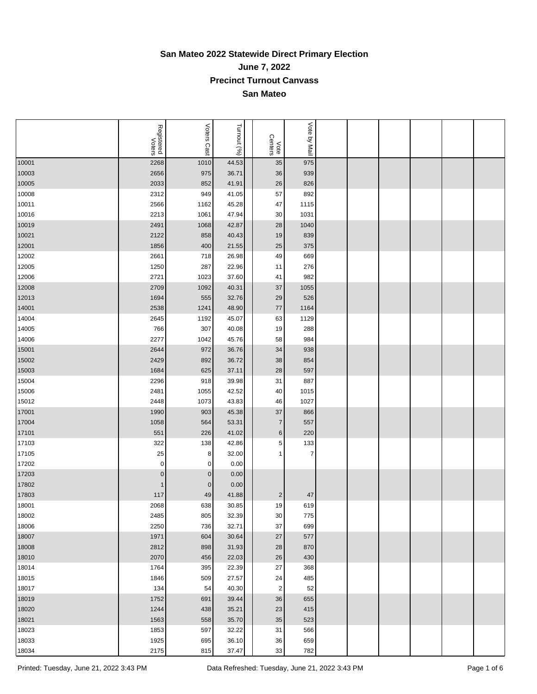## **San Mateo 2022 Statewide Direct Primary Election June 7, 2022 Precinct Turnout Canvass San Mateo**

|       | Registered<br>Voters | Voters Cast | Turnout (%) | Vote<br>Centers | Vote by Mail   |  |  |  |
|-------|----------------------|-------------|-------------|-----------------|----------------|--|--|--|
| 10001 | 2268                 | 1010        | 44.53       | 35              | 975            |  |  |  |
| 10003 | 2656                 | 975         | 36.71       | 36              | 939            |  |  |  |
| 10005 | 2033                 | 852         | 41.91       | 26              | 826            |  |  |  |
| 10008 | 2312                 | 949         | 41.05       | 57              | 892            |  |  |  |
| 10011 | 2566                 | 1162        | 45.28       | 47              | 1115           |  |  |  |
| 10016 | 2213                 | 1061        | 47.94       | 30              | 1031           |  |  |  |
| 10019 | 2491                 | 1068        | 42.87       | 28              | 1040           |  |  |  |
| 10021 | 2122                 | 858         | 40.43       | 19              | 839            |  |  |  |
| 12001 | 1856                 | 400         | 21.55       | 25              | 375            |  |  |  |
| 12002 | 2661                 | 718         | 26.98       | 49              | 669            |  |  |  |
| 12005 | 1250                 | 287         | 22.96       | 11              | 276            |  |  |  |
| 12006 | 2721                 | 1023        | 37.60       | 41              | 982            |  |  |  |
| 12008 | 2709                 | 1092        | 40.31       | 37              | 1055           |  |  |  |
| 12013 | 1694                 | 555         | 32.76       | 29              | 526            |  |  |  |
| 14001 | 2538                 | 1241        | 48.90       | 77              | 1164           |  |  |  |
| 14004 | 2645                 | 1192        | 45.07       | 63              | 1129           |  |  |  |
| 14005 | 766                  | 307         | 40.08       | 19              | 288            |  |  |  |
| 14006 | 2277                 | 1042        | 45.76       | 58              | 984            |  |  |  |
| 15001 | 2644                 | 972         | 36.76       | 34              | 938            |  |  |  |
| 15002 | 2429                 | 892         | 36.72       | 38              | 854            |  |  |  |
| 15003 | 1684                 | 625         | 37.11       | 28              | 597            |  |  |  |
| 15004 | 2296                 | 918         | 39.98       | 31              | 887            |  |  |  |
|       |                      |             | 42.52       |                 |                |  |  |  |
| 15006 | 2481                 | 1055        |             | 40              | 1015           |  |  |  |
| 15012 | 2448                 | 1073        | 43.83       | 46              | 1027           |  |  |  |
| 17001 | 1990                 | 903         | 45.38       | 37              | 866            |  |  |  |
| 17004 | 1058                 | 564         | 53.31       | $\overline{7}$  | 557            |  |  |  |
| 17101 | 551                  | 226         | 41.02       | 6               | 220            |  |  |  |
| 17103 | 322                  | 138         | 42.86       | 5               | 133            |  |  |  |
| 17105 | 25                   | 8           | 32.00       | 1               | $\overline{7}$ |  |  |  |
| 17202 | 0                    | 0           | 0.00        |                 |                |  |  |  |
| 17203 | $\mathbf 0$          | $\pmb{0}$   | 0.00        |                 |                |  |  |  |
| 17802 | $\mathbf{1}$         | $\pmb{0}$   | 0.00        |                 |                |  |  |  |
| 17803 | 117                  | 49          | 41.88       | $\overline{2}$  | 47             |  |  |  |
| 18001 | 2068                 | 638         | 30.85       | 19              | 619            |  |  |  |
| 18002 | 2485                 | 805         | 32.39       | 30 <sup>°</sup> | 775            |  |  |  |
| 18006 | 2250                 | 736         | 32.71       | 37              | 699            |  |  |  |
| 18007 | 1971                 | 604         | 30.64       | 27              | 577            |  |  |  |
| 18008 | 2812                 | 898         | 31.93       | 28              | 870            |  |  |  |
| 18010 | 2070                 | 456         | 22.03       | 26              | 430            |  |  |  |
| 18014 | 1764                 | 395         | 22.39       | 27              | 368            |  |  |  |
| 18015 | 1846                 | 509         | 27.57       | 24              | 485            |  |  |  |
| 18017 | 134                  | 54          | 40.30       | $\sqrt{2}$      | 52             |  |  |  |
| 18019 | 1752                 | 691         | 39.44       | 36              | 655            |  |  |  |
| 18020 | 1244                 | 438         | 35.21       | 23              | 415            |  |  |  |
| 18021 | 1563                 | 558         | 35.70       | 35              | 523            |  |  |  |
| 18023 | 1853                 | 597         | 32.22       | 31              | 566            |  |  |  |
| 18033 | 1925                 | 695         | 36.10       | $36\,$          | 659            |  |  |  |
| 18034 | 2175                 | 815         | 37.47       | 33              | 782            |  |  |  |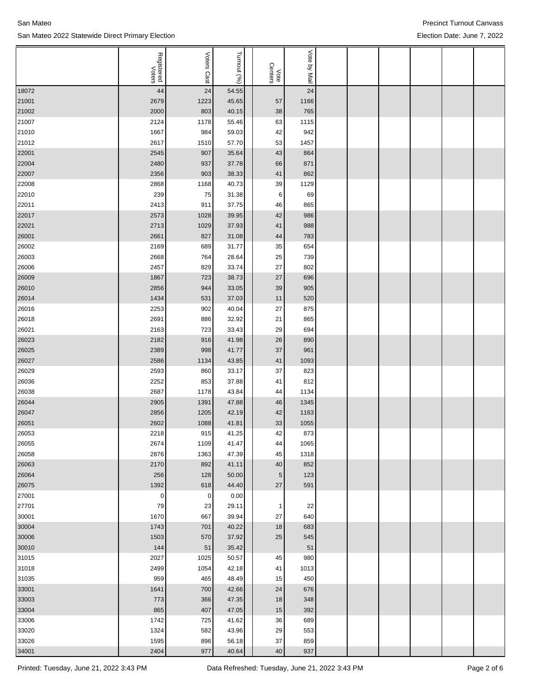| San Mateo |                                                  |
|-----------|--------------------------------------------------|
|           | San Mateo 2022 Statewide Direct Primary Election |

|                | Registered<br>Voters | <b>Voters</b> | Turnout (%)    |                 | Vote by Mail |  |  |  |
|----------------|----------------------|---------------|----------------|-----------------|--------------|--|--|--|
|                |                      | Cast          |                | Vote<br>Centers |              |  |  |  |
| 18072          | 44                   | 24            | 54.55          |                 | 24           |  |  |  |
| 21001          | 2679                 | 1223          | 45.65          | 57              | 1166         |  |  |  |
| 21002          | 2000                 | 803           | 40.15          | 38              | 765          |  |  |  |
| 21007          | 2124                 | 1178          | 55.46          | 63              | 1115         |  |  |  |
| 21010          | 1667                 | 984           | 59.03          | 42              | 942          |  |  |  |
| 21012          | 2617                 | 1510          | 57.70          | 53              | 1457         |  |  |  |
| 22001          | 2545                 | 907           | 35.64          | 43              | 864          |  |  |  |
| 22004          | 2480                 | 937           | 37.78          | 66              | 871          |  |  |  |
| 22007          | 2356                 | 903           | 38.33          | 41              | 862          |  |  |  |
| 22008          | 2868                 | 1168          | 40.73          | 39              | 1129         |  |  |  |
| 22010          | 239                  | 75            | 31.38          | 6               | 69           |  |  |  |
| 22011          | 2413                 | 911           | 37.75<br>39.95 | 46              | 865          |  |  |  |
| 22017<br>22021 | 2573<br>2713         | 1028<br>1029  | 37.93          | 42<br>41        | 986<br>988   |  |  |  |
| 26001          | 2661                 | 827           | 31.08          | 44              | 783          |  |  |  |
| 26002          | 2169                 | 689           | 31.77          | 35              | 654          |  |  |  |
| 26003          | 2668                 | 764           | 28.64          | 25              | 739          |  |  |  |
| 26006          | 2457                 | 829           | 33.74          | 27              | 802          |  |  |  |
| 26009          | 1867                 | 723           | 38.73          | 27              | 696          |  |  |  |
| 26010          | 2856                 | 944           | 33.05          | 39              | 905          |  |  |  |
| 26014          | 1434                 | 531           | 37.03          | 11              | 520          |  |  |  |
| 26016          | 2253                 | 902           | 40.04          | 27              | 875          |  |  |  |
| 26018          | 2691                 | 886           | 32.92          | 21              | 865          |  |  |  |
| 26021          | 2163                 | 723           | 33.43          | 29              | 694          |  |  |  |
| 26023          | 2182                 | 916           | 41.98          | 26              | 890          |  |  |  |
| 26025          | 2389                 | 998           | 41.77          | 37              | 961          |  |  |  |
| 26027          | 2586                 | 1134          | 43.85          | 41              | 1093         |  |  |  |
| 26029          | 2593                 | 860           | 33.17          | 37              | 823          |  |  |  |
| 26036          | 2252                 | 853           | 37.88          | 41              | 812          |  |  |  |
| 26038          | 2687                 | 1178          | 43.84          | 44              | 1134         |  |  |  |
| 26044          | 2905                 | 1391          | 47.88          | 46              | 1345         |  |  |  |
| 26047          | 2856                 | 1205          | 42.19          | 42              | 1163         |  |  |  |
| 26051          | 2602                 | 1088          | 41.81          | 33              | 1055         |  |  |  |
| 26053          | 2218                 | 915           | 41.25          | 42              | 873          |  |  |  |
| 26055          | 2674<br>2876         | 1109<br>1363  | 41.47<br>47.39 | 44<br>45        | 1065<br>1318 |  |  |  |
| 26058<br>26063 | 2170                 | 892           | 41.11          | 40              | 852          |  |  |  |
| 26064          | 256                  | 128           | 50.00          | 5 <sub>5</sub>  | 123          |  |  |  |
| 26075          | 1392                 | 618           | 44.40          | $27\,$          | 591          |  |  |  |
| 27001          | $\pmb{0}$            | $\pmb{0}$     | 0.00           |                 |              |  |  |  |
| 27701          | 79                   | 23            | 29.11          | $\mathbf{1}$    | 22           |  |  |  |
| 30001          | 1670                 | 667           | 39.94          | $27\,$          | 640          |  |  |  |
| 30004          | 1743                 | 701           | 40.22          | 18              | 683          |  |  |  |
| 30006          | 1503                 | 570           | 37.92          | 25              | 545          |  |  |  |
| 30010          | 144                  | $51\,$        | 35.42          |                 | 51           |  |  |  |
| 31015          | 2027                 | 1025          | 50.57          | 45              | 980          |  |  |  |
| 31018          | 2499                 | 1054          | 42.18          | 41              | 1013         |  |  |  |
| 31035          | 959                  | 465           | 48.49          | 15              | 450          |  |  |  |
| 33001          | 1641                 | 700           | 42.66          | 24              | 676          |  |  |  |
| 33003          | 773                  | 366           | 47.35          | 18              | 348          |  |  |  |
| 33004          | 865                  | 407           | 47.05          | 15              | 392          |  |  |  |
| 33006          | 1742                 | 725           | 41.62          | 36              | 689          |  |  |  |
| 33020          | 1324                 | 582           | 43.96          | 29              | 553          |  |  |  |
| 33026          | 1595                 | 896           | 56.18          | 37              | 859          |  |  |  |
| 34001          | 2404                 | 977           | 40.64          | 40 <sup>°</sup> | 937          |  |  |  |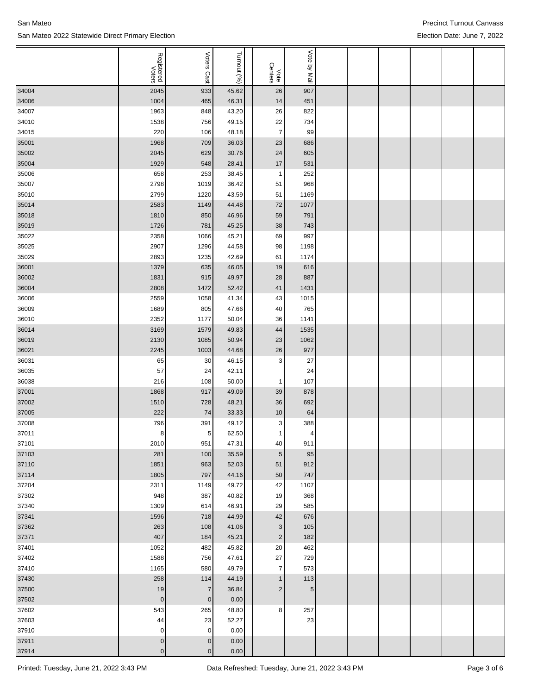|       |                      |                |                |                 | Vote       |  |  |  |
|-------|----------------------|----------------|----------------|-----------------|------------|--|--|--|
|       | Registered<br>Voters | Voters         | Turnout (%)    |                 |            |  |  |  |
|       |                      | Cast           |                | Vote<br>Centers | ilaM vd    |  |  |  |
| 34004 | 2045                 | 933            | 45.62          | 26              | 907        |  |  |  |
| 34006 | 1004                 | 465            | 46.31          | 14              | 451        |  |  |  |
| 34007 | 1963                 | 848            | 43.20          | 26              | 822        |  |  |  |
| 34010 | 1538                 | 756            | 49.15          | 22              | 734        |  |  |  |
| 34015 | 220                  | 106            | 48.18          | $\overline{7}$  | 99         |  |  |  |
|       |                      |                |                |                 |            |  |  |  |
| 35001 | 1968                 | 709            | 36.03          | 23              | 686        |  |  |  |
| 35002 | 2045                 | 629            | 30.76          | 24              | 605        |  |  |  |
| 35004 | 1929                 | 548            | 28.41          | 17              | 531        |  |  |  |
| 35006 | 658                  | 253            | 38.45          | 1               | 252        |  |  |  |
| 35007 | 2798                 | 1019           | 36.42          | 51              | 968        |  |  |  |
| 35010 | 2799                 | 1220           | 43.59          | 51              | 1169       |  |  |  |
| 35014 | 2583                 | 1149           | 44.48          | 72              | 1077       |  |  |  |
| 35018 | 1810                 | 850            | 46.96          | 59              | 791        |  |  |  |
| 35019 | 1726                 | 781            | 45.25          | 38              | 743        |  |  |  |
| 35022 | 2358                 | 1066           | 45.21          | 69              | 997        |  |  |  |
| 35025 | 2907                 | 1296           | 44.58          | 98              | 1198       |  |  |  |
| 35029 | 2893                 | 1235           | 42.69          | 61              | 1174       |  |  |  |
| 36001 | 1379                 | 635            | 46.05          | 19              | 616        |  |  |  |
| 36002 | 1831                 | 915            | 49.97          | 28              | 887        |  |  |  |
| 36004 | 2808                 | 1472           | 52.42          | 41              | 1431       |  |  |  |
| 36006 | 2559                 | 1058           | 41.34          | 43              | 1015       |  |  |  |
| 36009 | 1689                 | 805            | 47.66          | 40              | 765        |  |  |  |
| 36010 | 2352                 | 1177           | 50.04          | 36              | 1141       |  |  |  |
| 36014 | 3169                 | 1579           | 49.83          | 44              | 1535       |  |  |  |
| 36019 | 2130                 | 1085           | 50.94          | 23              | 1062       |  |  |  |
| 36021 | 2245                 | 1003           | 44.68          | 26              | 977        |  |  |  |
| 36031 | 65                   | 30             | 46.15          | 3               | 27         |  |  |  |
| 36035 | 57                   | 24             | 42.11          |                 | 24         |  |  |  |
| 36038 | 216                  | 108            | 50.00          | $\mathbf{1}$    | 107        |  |  |  |
| 37001 | 1868                 | 917            | 49.09          | 39              | 878        |  |  |  |
| 37002 | 1510                 | 728            | 48.21          | 36              | 692        |  |  |  |
| 37005 | 222                  | 74             | 33.33          | 10              | 64         |  |  |  |
| 37008 | 796                  | 391            | 49.12          | 3               | 388        |  |  |  |
| 37011 | 8                    | 5              | 62.50          | 1               | 4          |  |  |  |
| 37101 | 2010                 | 951            | 47.31          | 40              | 911        |  |  |  |
| 37103 | 281                  | 100            | 35.59          | 5 <sub>5</sub>  | 95         |  |  |  |
| 37110 | 1851                 | 963            | 52.03          | 51              | 912        |  |  |  |
| 37114 | 1805                 | 797            | 44.16          | 50              | 747        |  |  |  |
| 37204 | 2311                 | 1149           | 49.72          | 42              | 1107       |  |  |  |
| 37302 | 948                  | 387            | 40.82          | 19              | 368        |  |  |  |
| 37340 | 1309                 | 614            | 46.91          | 29              | 585        |  |  |  |
| 37341 | 1596                 | 718            | 44.99          | $42\,$          | 676        |  |  |  |
| 37362 | 263                  | 108            | 41.06          | 3               | 105        |  |  |  |
| 37371 | 407                  | 184            | 45.21          | $\overline{2}$  | 182        |  |  |  |
| 37401 | 1052                 | 482            | 45.82          | 20              | 462        |  |  |  |
| 37402 | 1588                 | 756            | 47.61          | $27\,$          | 729        |  |  |  |
|       |                      |                |                |                 |            |  |  |  |
| 37410 | 1165<br>258          | 580<br>114     | 49.79<br>44.19 | $\overline{7}$  | 573<br>113 |  |  |  |
| 37430 |                      |                |                | $\mathbf{1}$    |            |  |  |  |
| 37500 | 19                   | $\overline{7}$ | 36.84          | $\overline{2}$  | $\sqrt{5}$ |  |  |  |
| 37502 | $\mathbf 0$          | $\pmb{0}$      | 0.00           |                 |            |  |  |  |
| 37602 | 543                  | 265            | 48.80          | 8               | 257        |  |  |  |
| 37603 | 44                   | 23             | 52.27          |                 | 23         |  |  |  |
| 37910 | $\pmb{0}$            | $\pmb{0}$      | 0.00           |                 |            |  |  |  |
| 37911 | $\vert 0 \vert$      | $\pmb{0}$      | 0.00           |                 |            |  |  |  |
| 37914 | $\pmb{0}$            | $\pmb{0}$      | $0.00\,$       |                 |            |  |  |  |

## San Mateo 2022 Statewide Direct Primary Election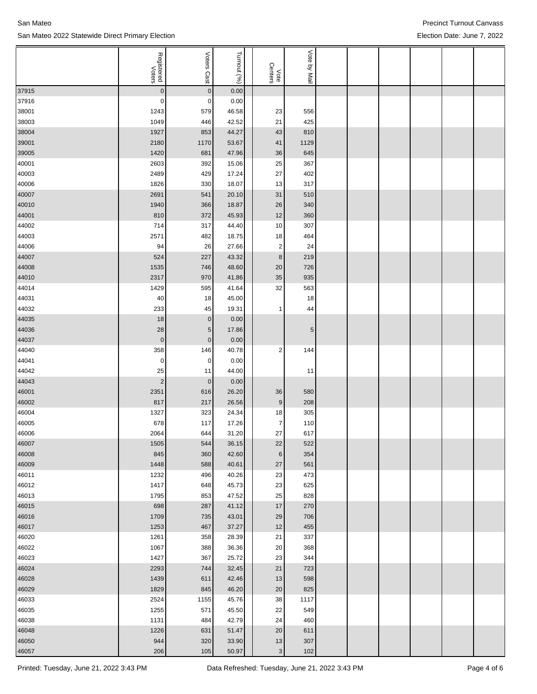|       | Registered<br>Voters | Voters          | Turnout (%) |                 | Vote by Mail |  |  |  |
|-------|----------------------|-----------------|-------------|-----------------|--------------|--|--|--|
|       |                      | Cast            |             | Vote<br>Centers |              |  |  |  |
| 37915 | $\pmb{0}$            | $\overline{0}$  | 0.00        |                 |              |  |  |  |
| 37916 | $\mathbf 0$          | 0               | 0.00        |                 |              |  |  |  |
| 38001 | 1243                 | 579             | 46.58       | 23              | 556          |  |  |  |
| 38003 | 1049                 | 446             | 42.52       | 21              | 425          |  |  |  |
| 38004 | 1927                 | 853             | 44.27       | 43              | 810          |  |  |  |
| 39001 | 2180                 | 1170            | 53.67       | 41              | 1129         |  |  |  |
| 39005 | 1420                 | 681             | 47.96       | 36              | 645          |  |  |  |
| 40001 | 2603                 | 392             | 15.06       | 25              | 367          |  |  |  |
| 40003 | 2489                 | 429             | 17.24       | 27              | 402          |  |  |  |
| 40006 | 1826                 | 330             | 18.07       | 13              | 317          |  |  |  |
| 40007 | 2691                 | 541             | 20.10       | 31              | 510          |  |  |  |
| 40010 | 1940                 | 366             | 18.87       | 26              | 340          |  |  |  |
| 44001 | 810                  | 372             | 45.93       | 12              | 360          |  |  |  |
| 44002 | 714                  | 317             | 44.40       | 10              | 307          |  |  |  |
| 44003 | 2571                 | 482             | 18.75       | 18              | 464          |  |  |  |
| 44006 | 94                   | 26              | 27.66       | $\overline{2}$  | 24           |  |  |  |
| 44007 | 524                  | 227             | 43.32       | $\bf8$          | 219          |  |  |  |
| 44008 | 1535                 | 746             | 48.60       | 20              | 726          |  |  |  |
| 44010 | 2317                 | 970             | 41.86       | 35              | 935          |  |  |  |
| 44014 | 1429                 | 595             | 41.64       | 32              | 563          |  |  |  |
| 44031 | 40                   | 18              | 45.00       |                 | 18           |  |  |  |
| 44032 | 233                  | 45              | 19.31       | 1               | 44           |  |  |  |
| 44035 | 18                   | $\overline{0}$  | 0.00        |                 |              |  |  |  |
| 44036 | 28                   | 5 <sub>5</sub>  | 17.86       |                 | 5            |  |  |  |
| 44037 | $\pmb{0}$            | $\vert 0 \vert$ | 0.00        |                 |              |  |  |  |
| 44040 | 358                  | 146             | 40.78       | 2               | 144          |  |  |  |
| 44041 | 0                    | $\overline{0}$  | 0.00        |                 |              |  |  |  |
| 44042 | 25                   | 11              | 44.00       |                 | 11           |  |  |  |
| 44043 | $\sqrt{2}$           | 0               | 0.00        |                 |              |  |  |  |
| 46001 | 2351                 | 616             | 26.20       | 36              | 580          |  |  |  |
| 46002 | 817                  | 217             | 26.56       | $\vert 9 \vert$ | 208          |  |  |  |
| 46004 | 1327                 | 323             | 24.34       | 18              | 305          |  |  |  |
| 46005 | 678                  | 117             | 17.26       | $\overline{7}$  | 110          |  |  |  |
| 46006 | 2064                 | 644             | 31.20       | 27              | 617          |  |  |  |
| 46007 | 1505                 | 544             | 36.15       | 22              | 522          |  |  |  |
| 46008 | 845                  | 360             | 42.60       | $6 \mid$        | 354          |  |  |  |
| 46009 | 1448                 | 588             | 40.61       | 27              | 561          |  |  |  |
| 46011 | 1232                 | 496             | 40.26       | 23              | 473          |  |  |  |
| 46012 | 1417                 | 648             | 45.73       | 23              | 625          |  |  |  |
| 46013 | 1795                 | 853             | 47.52       | 25              | 828          |  |  |  |
| 46015 | 698                  | 287             | 41.12       | 17              | 270          |  |  |  |
| 46016 | 1709                 | 735             | 43.01       | 29              | 706          |  |  |  |
| 46017 | 1253                 | 467             | 37.27       | 12              | 455          |  |  |  |
| 46020 | 1261                 | 358             | 28.39       | 21              | 337          |  |  |  |
| 46022 | 1067                 | 388             | 36.36       | 20              | 368          |  |  |  |
| 46023 | 1427                 | 367             | 25.72       | 23              | 344          |  |  |  |
| 46024 | 2293                 | 744             | 32.45       | 21              | 723          |  |  |  |
| 46028 | 1439                 | 611             | 42.46       | 13              | 598          |  |  |  |
| 46029 | 1829                 | 845             | 46.20       | 20              | 825          |  |  |  |
| 46033 | 2524                 | 1155            | 45.76       | 38              | 1117         |  |  |  |
| 46035 | 1255                 | 571             | 45.50       | 22              | 549          |  |  |  |
| 46038 | 1131                 | 484             | 42.79       | 24              | 460          |  |  |  |
| 46048 | 1226                 | 631             | 51.47       | 20              | 611          |  |  |  |
| 46050 | 944                  | 320             | 33.90       | 13              | 307          |  |  |  |
| 46057 | 206                  | 105             | 50.97       | $\mathbf{3}$    | 102          |  |  |  |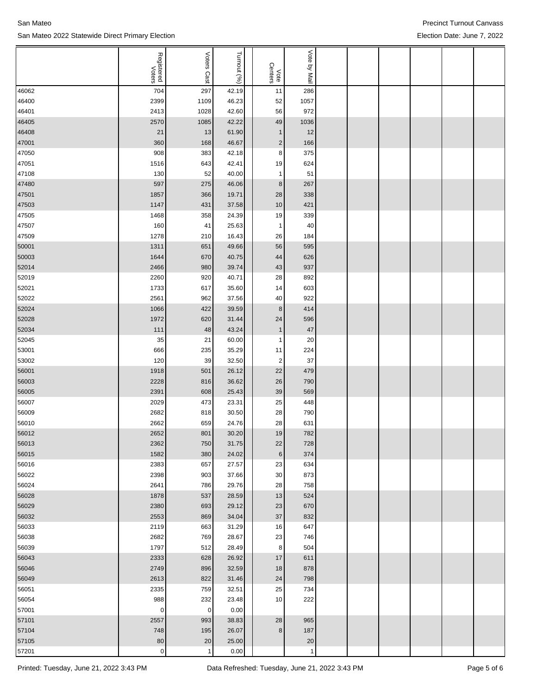|                | Registered<br>Voters | Voters       | Turnout (%)    |                 | Vote         |  |  |  |
|----------------|----------------------|--------------|----------------|-----------------|--------------|--|--|--|
|                |                      | Cast         |                | Vote<br>Centers | ey Mail      |  |  |  |
| 46062          | 704                  | 297          | 42.19          | 11              | 286          |  |  |  |
| 46400          | 2399                 | 1109         | 46.23          | 52              | 1057         |  |  |  |
| 46401          | 2413                 | 1028         | 42.60          | 56              | 972          |  |  |  |
| 46405          | 2570                 | 1085         | 42.22          | 49              | 1036         |  |  |  |
| 46408          | 21                   | 13           | 61.90          | $\mathbf{1}$    | 12           |  |  |  |
| 47001          | 360                  | 168          | 46.67          | $\overline{c}$  | 166          |  |  |  |
| 47050          | 908                  | 383          | 42.18          | 8               | 375          |  |  |  |
| 47051          | 1516                 | 643          | 42.41          | 19              | 624          |  |  |  |
| 47108          | 130                  | 52           | 40.00          | $\mathbf{1}$    | 51           |  |  |  |
| 47480          | 597                  | 275          | 46.06          | 8               | 267          |  |  |  |
| 47501          | 1857                 | 366          | 19.71          | 28              | 338          |  |  |  |
| 47503          | 1147                 | 431          | 37.58          | 10              | 421          |  |  |  |
| 47505          | 1468                 | 358          | 24.39          | 19              | 339          |  |  |  |
| 47507          | 160                  | 41           | 25.63          | 1               | 40           |  |  |  |
| 47509          | 1278                 | 210          | 16.43          | 26              | 184          |  |  |  |
| 50001          | 1311                 | 651          | 49.66          | 56              | 595          |  |  |  |
|                |                      |              |                |                 |              |  |  |  |
| 50003<br>52014 | 1644                 | 670          | 40.75          | 44              | 626          |  |  |  |
|                | 2466                 | 980          | 39.74          | 43              | 937          |  |  |  |
| 52019          | 2260<br>1733         | 920          | 40.71<br>35.60 | 28              | 892          |  |  |  |
| 52021<br>52022 |                      | 617          |                | 14              | 603          |  |  |  |
|                | 2561                 | 962          | 37.56          | 40              | 922          |  |  |  |
| 52024          | 1066                 | 422          | 39.59          | 8               | 414          |  |  |  |
| 52028          | 1972                 | 620          | 31.44          | 24              | 596          |  |  |  |
| 52034          | 111                  | 48           | 43.24          | $\mathbf{1}$    | 47           |  |  |  |
| 52045          | 35                   | 21           | 60.00          | $\mathbf{1}$    | 20           |  |  |  |
| 53001          | 666                  | 235          | 35.29          | 11              | 224          |  |  |  |
| 53002          | 120                  | 39           | 32.50          | 2               | 37           |  |  |  |
| 56001          | 1918                 | 501          | 26.12          | 22              | 479          |  |  |  |
| 56003          | 2228                 | 816          | 36.62          | 26              | 790          |  |  |  |
| 56005          | 2391                 | 608          | 25.43          | 39              | 569          |  |  |  |
| 56007          | 2029                 | 473          | 23.31          | 25              | 448          |  |  |  |
| 56009          | 2682                 | 818          | 30.50          | 28              | 790          |  |  |  |
| 56010          | 2662                 | 659          | 24.76          | 28              | 631          |  |  |  |
| 56012          | 2652                 | 801          | 30.20          | 19              | 782          |  |  |  |
| 56013          | 2362                 | 750          | 31.75          | 22              | 728          |  |  |  |
| 56015          | 1582                 | 380          | 24.02          | 6               | 374          |  |  |  |
| 56016          | 2383                 | 657          | 27.57          | 23              | 634          |  |  |  |
| 56022          | 2398                 | 903          | 37.66          | $30\,$          | 873          |  |  |  |
| 56024          | 2641                 | 786          | 29.76          | 28              | 758          |  |  |  |
| 56028          | 1878                 | 537          | 28.59          | 13              | 524          |  |  |  |
| 56029          | 2380                 | 693          | 29.12          | 23              | 670          |  |  |  |
| 56032          | 2553                 | 869          | 34.04          | 37              | 832          |  |  |  |
| 56033          | 2119                 | 663          | 31.29          | 16              | 647          |  |  |  |
| 56038          | 2682                 | 769          | 28.67          | 23              | 746          |  |  |  |
| 56039          | 1797                 | 512          | 28.49          | 8               | 504          |  |  |  |
| 56043          | 2333                 | 628          | 26.92          | 17              | 611          |  |  |  |
| 56046          | 2749                 | 896          | 32.59          | 18              | 878          |  |  |  |
| 56049          | 2613                 | 822          | 31.46          | 24              | 798          |  |  |  |
| 56051          | 2335                 | 759          | 32.51          | 25              | 734          |  |  |  |
| 56054          | 988                  | 232          | 23.48          | 10              | 222          |  |  |  |
| 57001          | $\mathbf 0$          | $\mathbf 0$  | 0.00           |                 |              |  |  |  |
| 57101          | 2557                 | 993          | 38.83          | 28              | 965          |  |  |  |
| 57104          | 748                  | 195          | 26.07          | 8               | 187          |  |  |  |
| 57105          | 80                   | 20           | 25.00          |                 | 20           |  |  |  |
| 57201          | $\mathsf 0$          | $\mathbf{1}$ | 0.00           |                 | $\mathbf{1}$ |  |  |  |